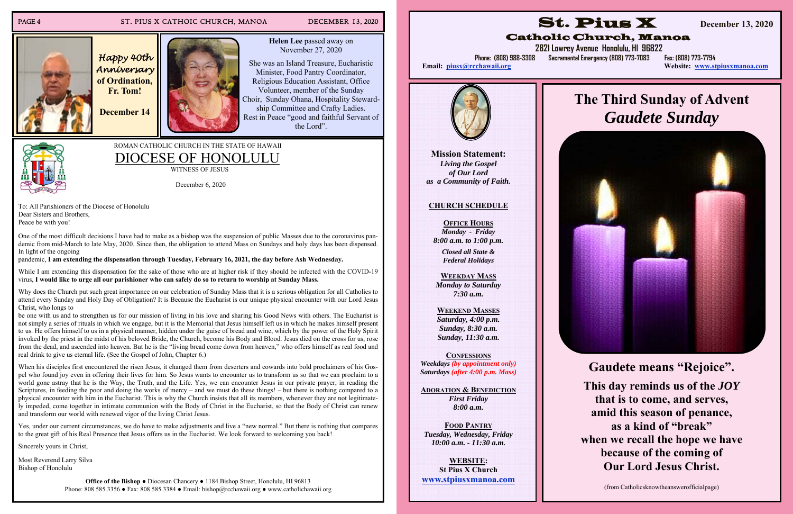#### PAGE 4 ST. PIUS X CATHOIC CHURCH, MANOA DECEMBER 13, 2020

*Happy 40th Anniversary*  **of Ordination, Fr. Tom!** 

**December 14** 

**Helen Lee** passed away on November 27, 2020

She was an Island Treasure, Eucharistic Minister, Food Pantry Coordinator, Religious Education Assistant, Office Volunteer, member of the Sunday Choir, Sunday Ohana, Hospitality Stewardship Committee and Crafty Ladies. Rest in Peace "good and faithful Servant of the Lord".

### ROMAN CATHOLIC CHURCH IN THE STATE OF HAWAII DIOCESE OF HONOLULU

WITNESS OF JESUS

December 6, 2020

To: All Parishioners of the Diocese of Honolulu Dear Sisters and Brothers, Peace be with you!

While I am extending this dispensation for the sake of those who are at higher risk if they should be infected with the COVID-19 virus, **I would like to urge all our parishioner who can safely do so to return to worship at Sunday Mass.** 

One of the most difficult decisions I have had to make as a bishop was the suspension of public Masses due to the coronavirus pandemic from mid-March to late May, 2020. Since then, the obligation to attend Mass on Sundays and holy days has been dispensed. In light of the ongoing

pandemic, **I am extending the dispensation through Tuesday, February 16, 2021, the day before Ash Wednesday.** 

Why does the Church put such great importance on our celebration of Sunday Mass that it is a serious obligation for all Catholics to attend every Sunday and Holy Day of Obligation? It is Because the Eucharist is our unique physical encounter with our Lord Jesus Christ, who longs to

When his disciples first encountered the risen Jesus, it changed them from deserters and cowards into bold proclaimers of his Gospel who found joy even in offering their lives for him. So Jesus wants to encounter us to transform us so that we can proclaim to a world gone astray that he is the Way, the Truth, and the Life. Yes, we can encounter Jesus in our private prayer, in reading the Scriptures, in feeding the poor and doing the works of mercy – and we must do these things! – but there is nothing compared to a physical encounter with him in the Eucharist. This is why the Church insists that all its members, whenever they are not legitimately impeded, come together in intimate communion with the Body of Christ in the Eucharist, so that the Body of Christ can renew and transform our world with renewed vigor of the living Christ Jesus.

be one with us and to strengthen us for our mission of living in his love and sharing his Good News with others. The Eucharist is not simply a series of rituals in which we engage, but it is the Memorial that Jesus himself left us in which he makes himself present to us. He offers himself to us in a physical manner, hidden under the guise of bread and wine, which by the power of the Holy Spirit invoked by the priest in the midst of his beloved Bride, the Church, become his Body and Blood. Jesus died on the cross for us, rose from the dead, and ascended into heaven. But he is the "living bread come down from heaven," who offers himself as real food and real drink to give us eternal life. (See the Gospel of John, Chapter 6.)

Yes, under our current circumstances, we do have to make adjustments and live a "new normal." But there is nothing that compares to the great gift of his Real Presence that Jesus offers us in the Eucharist. We look forward to welcoming you back!

Sincerely yours in Christ,

Most Reverend Larry Silva Bishop of Honolulu

> **Office of the Bishop ●** Diocesan Chancery **●** 1184 Bishop Street, Honolulu, HI 96813 Phone: 808.585.3356 ● Fax: 808.585.3384 ● Email: bishop@rcchawaii.org ● www.catholichawaii.org

**Mission Statement:** *Living the Gospel of Our Lord as a Community of Faith.* 

### **CHURCH SCHEDULE**

**OFFICE HOURS***Monday - Friday 8:00 a.m. to 1:00 p.m.* 

> *Closed all State & Federal Holidays*

**WEEKDAY MASS**  *Monday to Saturday 7:30 a.m.* 

**WEEKEND MASSES**  *Saturday, 4:00 p.m. Sunday, 8:30 a.m. Sunday, 11:30 a.m.* 

**CONFESSIONS**

*Weekdays (by appointment only) Saturdays (after 4:00 p.m. Mass)* 

**ADORATION & BENEDICTION***First Friday 8:00 a.m.* 

**FOOD PANTRY***Tuesday, Wednesday, Friday 10:00 a.m. - 11:30 a.m.* 

**WEBSITE: St Pius X Church www.stpiusxmanoa.com** 



# Catholic Church, Manoa

Email: piusx@rcchawaii.org



## **2821 Lowrey Avenue Honolulu, HI 96822**

**Phone: (808) 988-3308 Sacramental Emergency (808) 773-7083 Fax: (808) 773-7794** 

Website: www.stpiusxmanoa.com

## **The Third Sunday of Advent**  *Gaudete Sunday*



**Gaudete means "Rejoice". This day reminds us of the** *JOY* **that is to come, and serves, amid this season of penance, as a kind of "break" when we recall the hope we have because of the coming of Our Lord Jesus Christ.** 

(from Catholicsknowtheanswerofficialpage)